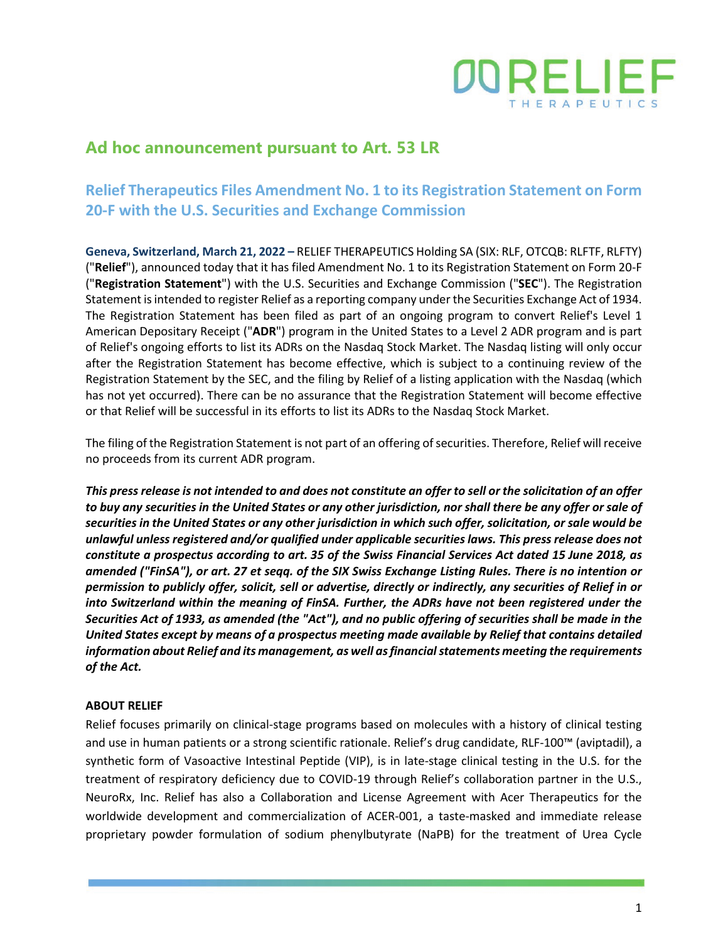

## **Ad hoc announcement pursuant to Art. 53 LR**

## **Relief Therapeutics Files Amendment No. 1 to its Registration Statement on Form 20-F with the U.S. Securities and Exchange Commission**

**Geneva, Switzerland, March 21, 2022 –** RELIEF THERAPEUTICS Holding SA (SIX: RLF, OTCQB: RLFTF, RLFTY) ("**Relief**"), announced today that it has filed Amendment No. 1 to its Registration Statement on Form 20-F ("**Registration Statement**") with the U.S. Securities and Exchange Commission ("**SEC**"). The Registration Statement is intended to register Relief as a reporting company under the Securities Exchange Act of 1934. The Registration Statement has been filed as part of an ongoing program to convert Relief's Level 1 American Depositary Receipt ("**ADR**") program in the United States to a Level 2 ADR program and is part of Relief's ongoing efforts to list its ADRs on the Nasdaq Stock Market. The Nasdaq listing will only occur after the Registration Statement has become effective, which is subject to a continuing review of the Registration Statement by the SEC, and the filing by Relief of a listing application with the Nasdaq (which has not yet occurred). There can be no assurance that the Registration Statement will become effective or that Relief will be successful in its efforts to list its ADRs to the Nasdaq Stock Market.

The filing of the Registration Statement is not part of an offering of securities. Therefore, Relief will receive no proceeds from its current ADR program.

*This press release is not intended to and does not constitute an offer to sell or the solicitation of an offer to buy any securities in the United States or any other jurisdiction, nor shall there be any offer or sale of securities in the United States or any other jurisdiction in which such offer, solicitation, or sale would be unlawful unless registered and/or qualified under applicable securities laws. This press release does not constitute a prospectus according to art. 35 of the Swiss Financial Services Act dated 15 June 2018, as amended ("FinSA"), or art. 27 et seqq. of the SIX Swiss Exchange Listing Rules. There is no intention or permission to publicly offer, solicit, sell or advertise, directly or indirectly, any securities of Relief in or into Switzerland within the meaning of FinSA. Further, the ADRs have not been registered under the Securities Act of 1933, as amended (the "Act"), and no public offering of securities shall be made in the United States except by means of a prospectus meeting made available by Relief that contains detailed information about Relief and its management, as well as financial statements meeting the requirements of the Act.*

## **ABOUT RELIEF**

Relief focuses primarily on clinical-stage programs based on molecules with a history of clinical testing and use in human patients or a strong scientific rationale. Relief's drug candidate, RLF-100™ (aviptadil), a synthetic form of Vasoactive Intestinal Peptide (VIP), is in late-stage clinical testing in the U.S. for the treatment of respiratory deficiency due to COVID-19 through Relief's collaboration partner in the U.S., NeuroRx, Inc. Relief has also a Collaboration and License Agreement with Acer Therapeutics for the worldwide development and commercialization of ACER-001, a taste-masked and immediate release proprietary powder formulation of sodium phenylbutyrate (NaPB) for the treatment of Urea Cycle